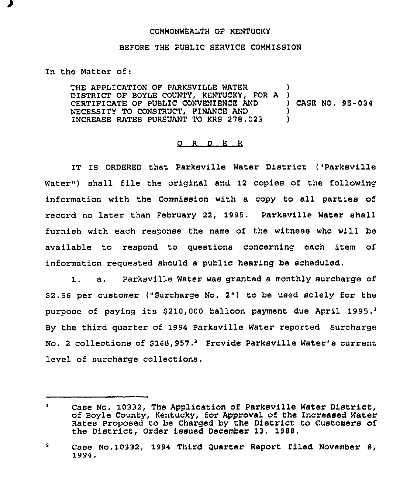## COMMONWEALTH OF KENTUCKY

## BEFORE THE PUBLIC SERVICE COMMISSION

In the Matter of:

THE APPLICATION OF PARKSVILLE WATER D1STRICT OF BOYLE COUNTY, KENTUCKY, FOR A CERTIFICATE OF PUBLIC CONVENIENCE AND NECESSITY TO CONSTRUCT, FINANCE AND INCREASE RATES PURSUANT TO KRS 278.023 1 ) ) CASE NO, 95-034 ) )

## 0 <sup>R</sup> <sup>D</sup> E R

IT IS ORDERED that Parksville Water District ("Pazksville Water") shall file the original and 12 copies of the following information with the Commission with a copy to all parties of record no later than February 22, 1995. Parksville Water shall furnish with each response the name of the witness who will be available to respond to questions concerning each item of information requested should a public hearing be scheduled.

1. a. Parksville Water was granted <sup>a</sup> monthly surcharge of \$2.56 per customer ("Surcharge No. 2") to be used solely for the purpose of paying its  $$210,000$  balloon payment due April 1995.<sup>1</sup> the third quarter of 1994 Paxksville Water reported Surcharge No. 2 collections of \$168,957.<sup>2</sup> Provide Parksville Water's current level of surcharge collections.

Case No. 10332, The Application of Parksville Water District,  $\mathbf{1}$ of Boyle County, Kentucky, for Approval of the Increased Water Rates Proposed to be Charged by the District to Customers of the District, Order issued December 13, 1988.

 $\overline{\mathbf{2}}$ Case No. 10332, 1994 Third Quarter Report filed November 8, 1994,